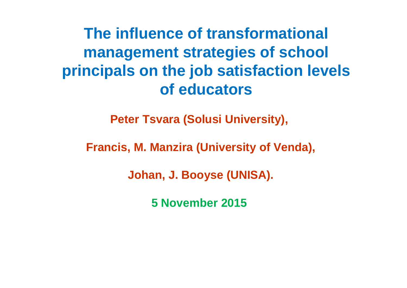**The influence of transformational management strategies of school principals on the job satisfaction levels of educators**

**Peter Tsvara (Solusi University),**

**Francis, M. Manzira (University of Venda),**

**Johan, J. Booyse (UNISA).**

**5 November 2015**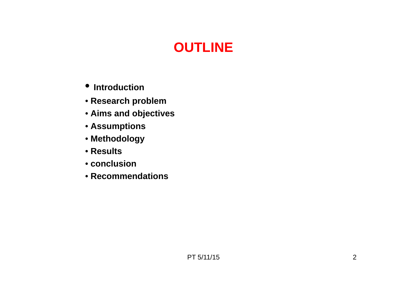## **OUTLINE**

- **Introduction**
- **Research problem**
- **Aims and objectives**
- **Assumptions**
- **Methodology**
- **Results**
- **conclusion**
- **Recommendations**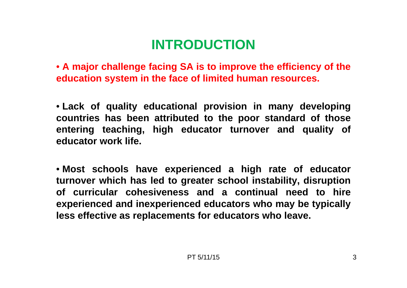# **INTRODUCTION**

• A major challenge facing SA is to improve the efficiency of the **education system in the face of limited human resources.**

• **Lack of quality educational provision in many developing countries has been attributed to the poor standard of those entering teaching, high educator turnover and quality of educator work life.**

• **Most schools have experienced <sup>a</sup> high rate of educator turnover which has led to greater school instability, disruption of curricular cohesiveness and a continual need to hireexperienced and inexperienced educators who may be typically less effective as replacements for educators who leave.**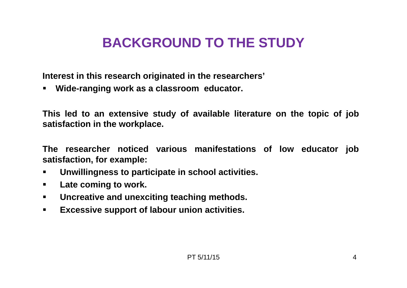# **BACKGROUND TO THE STUDY**

**Interest in this research originated in the researchers'**

■ **Wide-ranging work as <sup>a</sup> classroom educator.**

This led to an extensive study of available literature on the topic of job **satisfaction in the workplace.**

**The researcher noticed various manifestations of low educator job satisfaction, for example:**

- $\blacksquare$ **Unwillingness to participate in school activities.**
- $\blacksquare$ **Late coming to work.**
- $\blacksquare$ **Uncreative and unexciting teaching methods.**
- $\blacksquare$ **Excessive support of labour union activities.**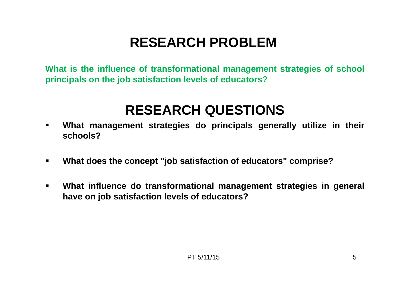## **RESEARCH PROBLEM**

**What is the influence of transformational management strategies of school principals on the job satisfaction levels of educators?**

## **RESEARCH QUESTIONS**

- $\blacksquare$  **What management strategies do principals generally utilize in their schools?**
- $\blacksquare$ **What does the concept "job satisfaction of educators" comprise?**
- $\blacksquare$  **What influence do transformational management strategies in general have on job satisfaction levels of educators?**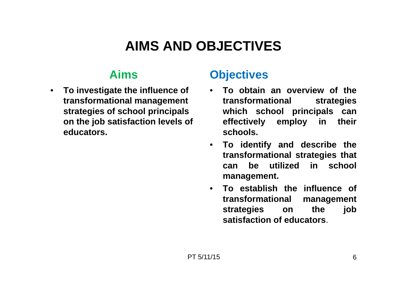## **AIMS AND OBJECTIVES**

#### **Aims**

 $\bullet$  **To investigate the influence of transformational management strategies of school principals on the job satisfaction levels of educators.**

#### **Objectives**

- • **To obtain an overview of thetransformational strategies which school principals can effectively employ in their schools.**
- $\bullet$  **To identify and describe the transformational strategies that can be utilized in schoolmanagement.**
- $\bullet$  **To establish the influence of transformational management strategies on the job satisfaction of educators**.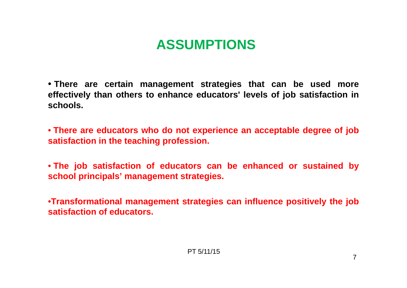## **ASSUMPTIONS**

• **There are certain management strategies that can be used more effectively than others to enhance educators' levels of job satisfaction in schools.**

• There are educators who do not experience an acceptable degree of job **satisfaction in the teaching profession.**

• **The job satisfaction of educators can be enhanced or sustained by school principals' management strategies.**

•**Transformational management strategies can influence positively the job satisfaction of educators.**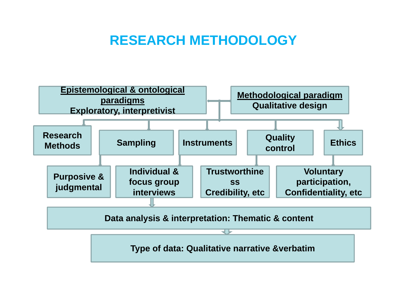#### **RESEARCH METHODOLOGY**

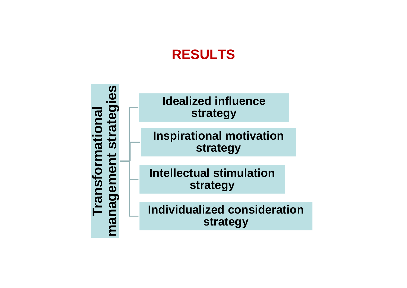## **RESULTS**

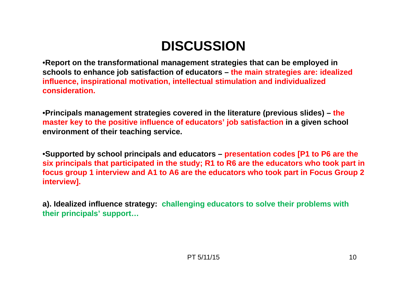# **DISCUSSION**

•**Report on the transformational management strategies that can be employed in schools to enhance job satisfaction of educators – the main strategies are: idealized influence, inspirational motivation, intellectual stimulation and individualized consideration.**

•**Principals management strategies covered in the literature (previous slides) – the master key to the positive influence of educators' job satisfaction in a given school environment of their teaching service.**

•**Supported by school principals and educators – presentation codes [P1 to P6 are the six principals that participated in the study; R1 to R6 are the educators who took part in focus group 1 interview and A1 to A6 are the educators who took part in Focus Group 2 interview].**

**a). Idealized influence strategy: challenging educators to solve their problems with their principals' support…**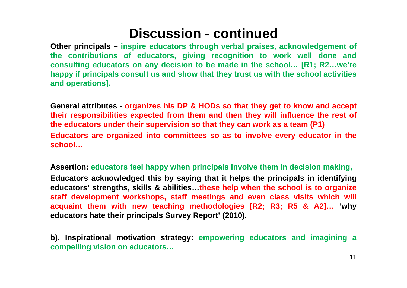#### **Discussion - continued**

**Other principals – inspire educators through verbal praises, acknowledgement of the contributions of educators, giving recognition to work well done and** consulting educators on any decision to be made in the school... [R1; R2...we're happy if principals consult us and show that they trust us with the school activities **and operations].**

General attributes - organizes his DP & HODs so that they get to know and accept their responsibilities expected from them and then they will influence the rest of the educators under their supervision so that they can work as a team (P1) Educators are organized into committees so as to involve every educator in the **school…**

**Assertion: educators feel happy when principals involve them in decision making,** Educators acknowledged this by saying that it helps the principals in identifying educators' strengths, skills & abilities. these help when the school is to organize **staff development workshops, staff meetings and even class visits which will acquaint them with new teaching methodologies [R2; R3; R5 & A2]… 'why educators hate their principals Survey Report' (2010).**

**b). Inspirational motivation strategy: empowering educators and imagining <sup>a</sup> compelling vision on educators…**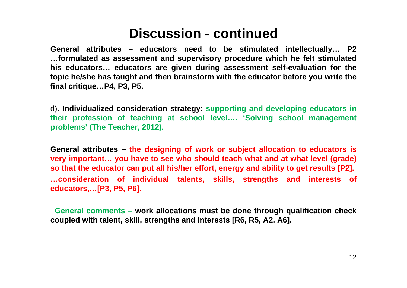#### **Discussion - continued**

**General attributes – educators need to be stimulated intellectually… P2 …formulated as assessment and supervisory procedure which he felt stimulated his educators… educators are given during assessment self-evaluation for the** topic he/she has taught and then brainstorm with the educator before you write the **final critique…P4, P3, P5.**

d). **Individualized consideration strategy: supporting and developing educators in their profession of teaching at school level…. 'Solving school management problems' (The Teacher, 2012).**

General attributes – the designing of work or subject allocation to educators is very important... you have to see who should teach what and at what level (grade) so that the educator can put all his/her effort, energy and ability to get results [P2]. **…consideration of individual talents, skills, strengths and interests of educators,…[P3, P5, P6].**

**General comments – work allocations must be done through qualification check coupled with talent, skill, strengths and interests [R6, R5, A2, A6].**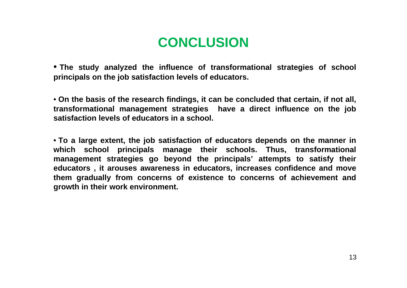## **CONCLUSION**

• **The study analyzed the influence of transformational strategies of school principals on the job satisfaction levels of educators.**

• On the basis of the research findings, it can be concluded that certain, if not all, **transformational management strategies have <sup>a</sup> direct influence on the job satisfaction levels of educators in a school.**

• To a large extent, the job satisfaction of educators depends on the manner in **which school principals manage their schools. Thus, transformational management strategies go beyond the principals' attempts to satisfy their educators , it arouses awareness in educators, increases confidence and move them gradually from concerns of existence to concerns of achievement and growth in their work environment.**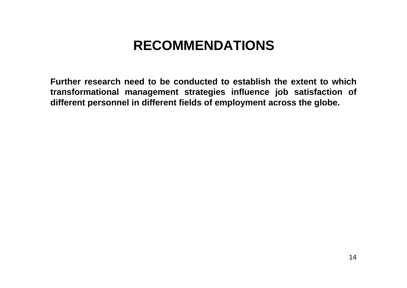## **RECOMMENDATIONS**

Further research need to be conducted to establish the extent to which **transformational management strategies influence job satisfaction of different personnel in different fields of employment across the globe.**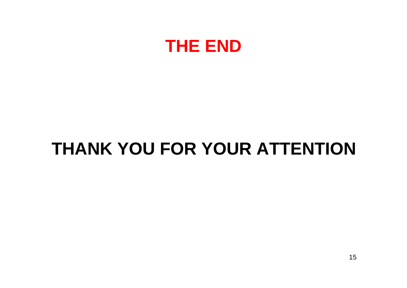

# **THANK YOU FOR YOUR ATTENTION**